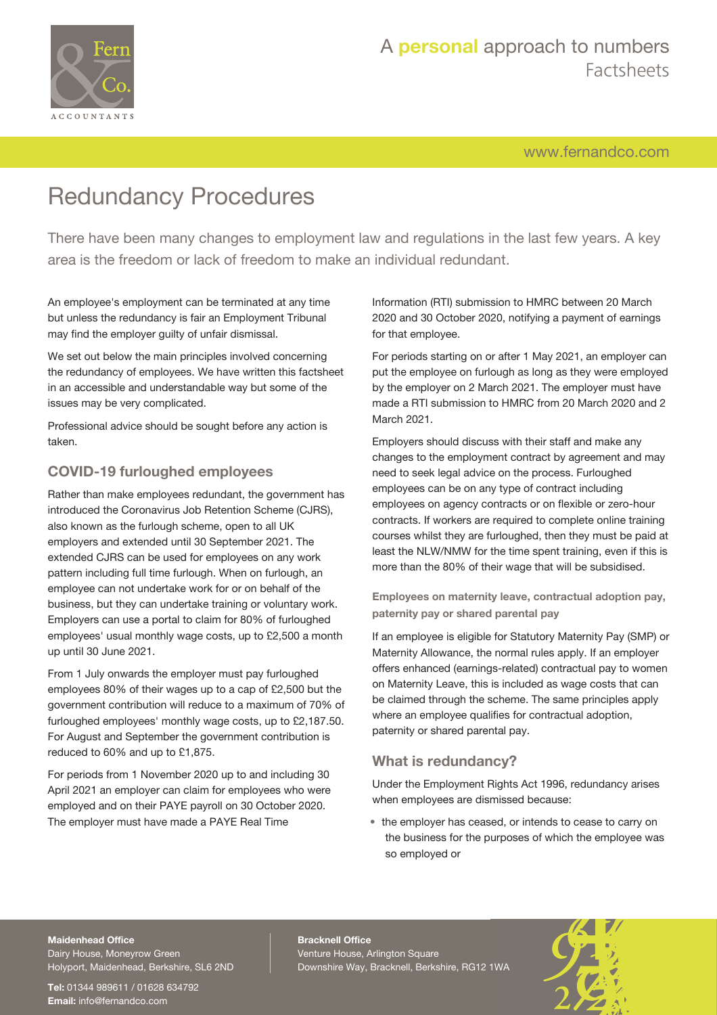

# A **personal** approach to numbers Factsheets

[www.fernandco.com](http://www.fernandco.com)

# Redundancy Procedures

There have been many changes to employment law and regulations in the last few years. A key area is the freedom or lack of freedom to make an individual redundant.

An employee's employment can be terminated at any time but unless the redundancy is fair an Employment Tribunal may find the employer guilty of unfair dismissal.

We set out below the main principles involved concerning the redundancy of employees. We have written this factsheet in an accessible and understandable way but some of the issues may be very complicated.

Professional advice should be sought before any action is taken.

#### **COVID-19 furloughed employees**

Rather than make employees redundant, the government has introduced the Coronavirus Job Retention Scheme (CJRS), also known as the furlough scheme, open to all UK employers and extended until 30 September 2021. The extended CJRS can be used for employees on any work pattern including full time furlough. When on furlough, an employee can not undertake work for or on behalf of the business, but they can undertake training or voluntary work. Employers can use a portal to claim for 80% of furloughed employees' usual monthly wage costs, up to £2,500 a month up until 30 June 2021.

From 1 July onwards the employer must pay furloughed employees 80% of their wages up to a cap of £2,500 but the government contribution will reduce to a maximum of 70% of furloughed employees' monthly wage costs, up to £2,187.50. For August and September the government contribution is reduced to 60% and up to £1,875.

For periods from 1 November 2020 up to and including 30 April 2021 an employer can claim for employees who were employed and on their PAYE payroll on 30 October 2020. The employer must have made a PAYE Real Time

Information (RTI) submission to HMRC between 20 March 2020 and 30 October 2020, notifying a payment of earnings for that employee.

For periods starting on or after 1 May 2021, an employer can put the employee on furlough as long as they were employed by the employer on 2 March 2021. The employer must have made a RTI submission to HMRC from 20 March 2020 and 2 March 2021.

Employers should discuss with their staff and make any changes to the employment contract by agreement and may need to seek legal advice on the process. Furloughed employees can be on any type of contract including employees on agency contracts or on flexible or zero-hour contracts. If workers are required to complete online training courses whilst they are furloughed, then they must be paid at least the NLW/NMW for the time spent training, even if this is more than the 80% of their wage that will be subsidised.

**Employees on maternity leave, contractual adoption pay, paternity pay or shared parental pay**

If an employee is eligible for Statutory Maternity Pay (SMP) or Maternity Allowance, the normal rules apply. If an employer offers enhanced (earnings-related) contractual pay to women on Maternity Leave, this is included as wage costs that can be claimed through the scheme. The same principles apply where an employee qualifies for contractual adoption, paternity or shared parental pay.

#### **What is redundancy?**

Under the Employment Rights Act 1996, redundancy arises when employees are dismissed because:

• the employer has ceased, or intends to cease to carry on the business for the purposes of which the employee was so employed or

#### **Maidenhead Office**

Dairy House, Moneyrow Green Holyport, Maidenhead, Berkshire, SL6 2ND

**Tel:** 01344 989611 / 01628 634792 **Email:** [info@fernandco.com](mailto:info@fernandco.com)

**Bracknell Office** Venture House, Arlington Square Downshire Way, Bracknell, Berkshire, RG12 1WA

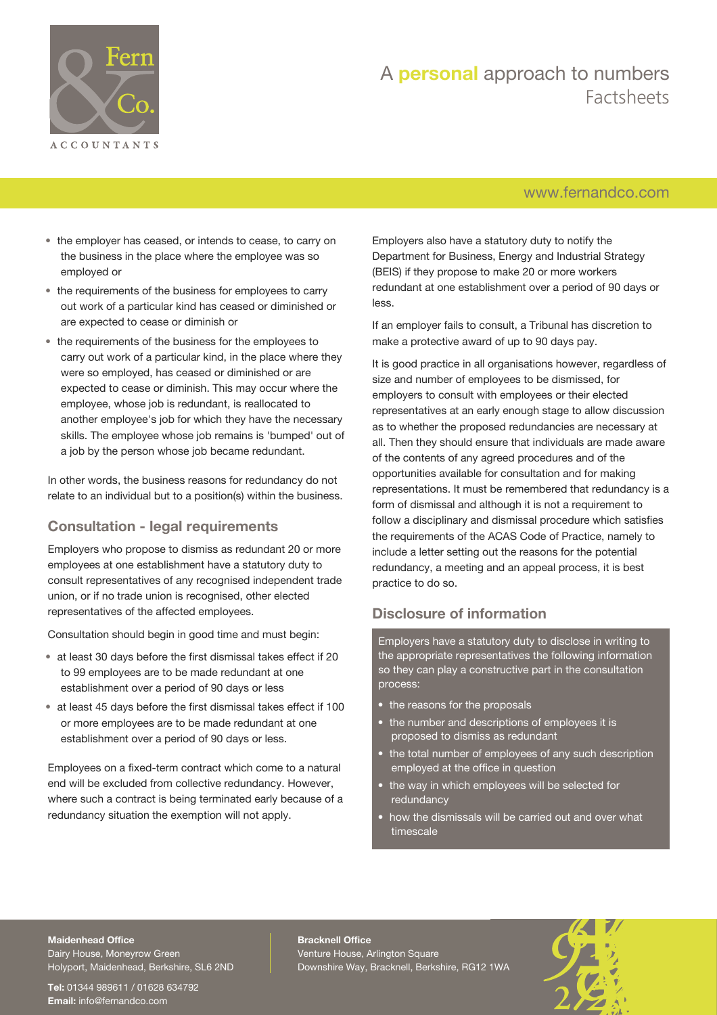

### A **personal** approach to numbers Factsheets

#### [www.fernandco.com](http://www.fernandco.com)

- the employer has ceased, or intends to cease, to carry on the business in the place where the employee was so employed or
- the requirements of the business for employees to carry out work of a particular kind has ceased or diminished or are expected to cease or diminish or
- the requirements of the business for the employees to carry out work of a particular kind, in the place where they were so employed, has ceased or diminished or are expected to cease or diminish. This may occur where the employee, whose job is redundant, is reallocated to another employee's job for which they have the necessary skills. The employee whose job remains is 'bumped' out of a job by the person whose job became redundant.

In other words, the business reasons for redundancy do not relate to an individual but to a position(s) within the business.

#### **Consultation - legal requirements**

Employers who propose to dismiss as redundant 20 or more employees at one establishment have a statutory duty to consult representatives of any recognised independent trade union, or if no trade union is recognised, other elected representatives of the affected employees.

Consultation should begin in good time and must begin:

- at least 30 days before the first dismissal takes effect if 20 to 99 employees are to be made redundant at one establishment over a period of 90 days or less
- at least 45 days before the first dismissal takes effect if 100 or more employees are to be made redundant at one establishment over a period of 90 days or less.

Employees on a fixed-term contract which come to a natural end will be excluded from collective redundancy. However, where such a contract is being terminated early because of a redundancy situation the exemption will not apply.

Employers also have a statutory duty to notify the Department for Business, Energy and Industrial Strategy (BEIS) if they propose to make 20 or more workers redundant at one establishment over a period of 90 days or less.

If an employer fails to consult, a Tribunal has discretion to make a protective award of up to 90 days pay.

It is good practice in all organisations however, regardless of size and number of employees to be dismissed, for employers to consult with employees or their elected representatives at an early enough stage to allow discussion as to whether the proposed redundancies are necessary at all. Then they should ensure that individuals are made aware of the contents of any agreed procedures and of the opportunities available for consultation and for making representations. It must be remembered that redundancy is a form of dismissal and although it is not a requirement to follow a disciplinary and dismissal procedure which satisfies the requirements of the ACAS Code of Practice, namely to include a letter setting out the reasons for the potential redundancy, a meeting and an appeal process, it is best practice to do so.

### **Disclosure of information**

Employers have a statutory duty to disclose in writing to the appropriate representatives the following information so they can play a constructive part in the consultation process:

- the reasons for the proposals
- the number and descriptions of employees it is proposed to dismiss as redundant
- the total number of employees of any such description employed at the office in question
- the way in which employees will be selected for redundancy
- how the dismissals will be carried out and over what timescale

#### **Maidenhead Office**

Dairy House, Moneyrow Green Holyport, Maidenhead, Berkshire, SL6 2ND

**Tel:** 01344 989611 / 01628 634792 **Email:** [info@fernandco.com](mailto:info@fernandco.com)

**Bracknell Office** Venture House, Arlington Square Downshire Way, Bracknell, Berkshire, RG12 1WA